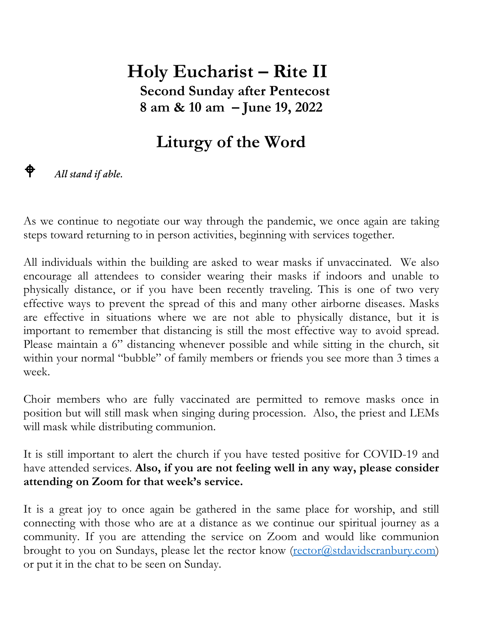## **Holy Eucharist – Rite II Second Sunday after Pentecost 8 am & 10 am – June 19, 2022**

## **Liturgy of the Word**

 $\oint$  *All stand if able.* 

As we continue to negotiate our way through the pandemic, we once again are taking steps toward returning to in person activities, beginning with services together.

All individuals within the building are asked to wear masks if unvaccinated. We also encourage all attendees to consider wearing their masks if indoors and unable to physically distance, or if you have been recently traveling. This is one of two very effective ways to prevent the spread of this and many other airborne diseases. Masks are effective in situations where we are not able to physically distance, but it is important to remember that distancing is still the most effective way to avoid spread. Please maintain a 6" distancing whenever possible and while sitting in the church, sit within your normal "bubble" of family members or friends you see more than 3 times a week.

Choir members who are fully vaccinated are permitted to remove masks once in position but will still mask when singing during procession. Also, the priest and LEMs will mask while distributing communion.

It is still important to alert the church if you have tested positive for COVID-19 and have attended services. **Also, if you are not feeling well in any way, please consider attending on Zoom for that week's service.** 

It is a great joy to once again be gathered in the same place for worship, and still connecting with those who are at a distance as we continue our spiritual journey as a community. If you are attending the service on Zoom and would like communion brought to you on Sundays, please let the rector know (rector@stdavidscranbury.com) or put it in the chat to be seen on Sunday.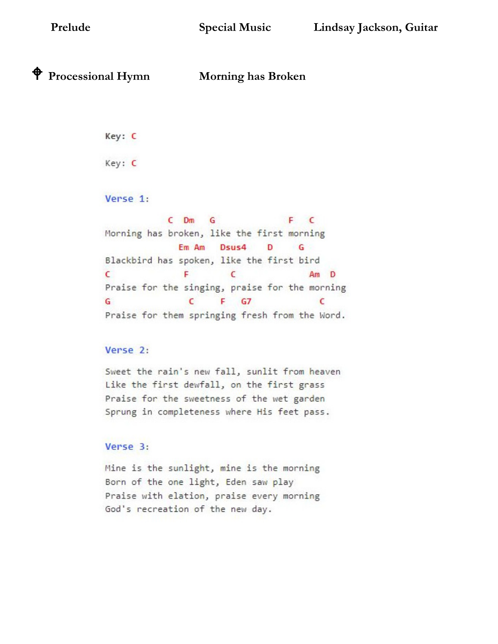## **Processional Hymn Morning has Broken**

Key: C

Key: C

#### Verse 1:

F C C Dm G Morning has broken, like the first morning Em Am Dsus4 D G Blackbird has spoken, like the first bird C P.  $\epsilon$ Am D Praise for the singing, praise for the morning  $\epsilon$ F G7 G C Praise for them springing fresh from the Word.

#### Verse 2:

Sweet the rain's new fall, sunlit from heaven Like the first dewfall, on the first grass Praise for the sweetness of the wet garden Sprung in completeness where His feet pass.

#### Verse 3:

Mine is the sunlight, mine is the morning Born of the one light, Eden saw play Praise with elation, praise every morning God's recreation of the new day.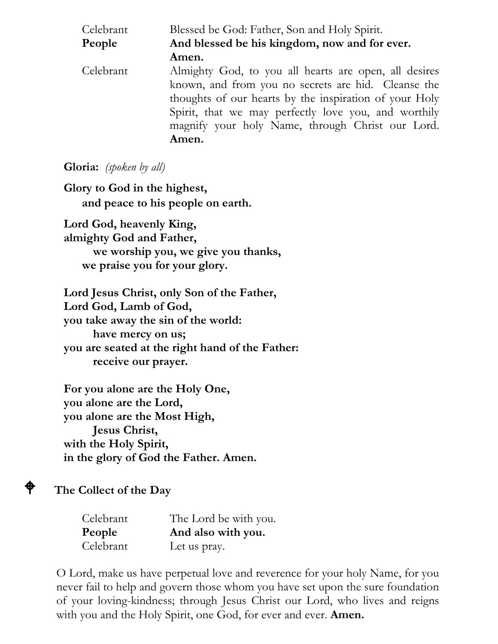| Celebrant | Blessed be God: Father, Son and Holy Spirit.           |  |
|-----------|--------------------------------------------------------|--|
| People    | And blessed be his kingdom, now and for ever.          |  |
|           | Amen.                                                  |  |
| Celebrant | Almighty God, to you all hearts are open, all desires  |  |
|           | known, and from you no secrets are hid. Cleanse the    |  |
|           | thoughts of our hearts by the inspiration of your Holy |  |
|           | Spirit, that we may perfectly love you, and worthily   |  |
|           | magnify your holy Name, through Christ our Lord.       |  |
|           | Amen.                                                  |  |

**Gloria:** *(spoken by all)* 

**Glory to God in the highest, and peace to his people on earth.** 

**Lord God, heavenly King, almighty God and Father, we worship you, we give you thanks, we praise you for your glory.** 

**Lord Jesus Christ, only Son of the Father, Lord God, Lamb of God, you take away the sin of the world: have mercy on us; you are seated at the right hand of the Father: receive our prayer.** 

**For you alone are the Holy One, you alone are the Lord, you alone are the Most High, Jesus Christ, with the Holy Spirit, in the glory of God the Father. Amen.** 

## **The Collect of the Day**

| Celebrant | The Lord be with you. |
|-----------|-----------------------|
| People    | And also with you.    |
| Celebrant | Let us pray.          |

O Lord, make us have perpetual love and reverence for your holy Name, for you never fail to help and govern those whom you have set upon the sure foundation of your loving-kindness; through Jesus Christ our Lord, who lives and reigns with you and the Holy Spirit, one God, for ever and ever. **Amen.**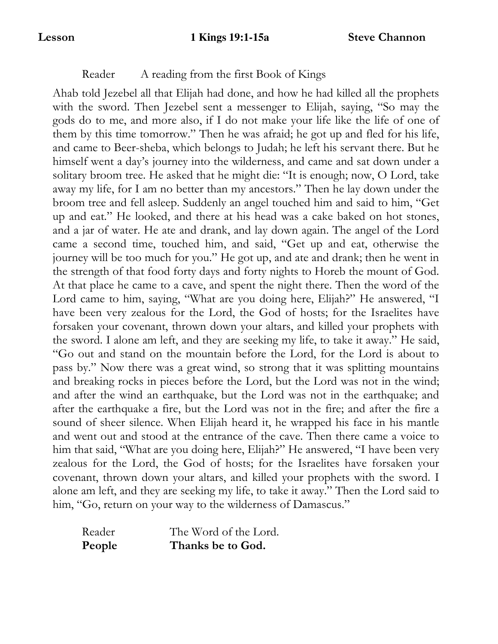Reader A reading from the first Book of Kings

Ahab told Jezebel all that Elijah had done, and how he had killed all the prophets with the sword. Then Jezebel sent a messenger to Elijah, saying, "So may the gods do to me, and more also, if I do not make your life like the life of one of them by this time tomorrow." Then he was afraid; he got up and fled for his life, and came to Beer-sheba, which belongs to Judah; he left his servant there. But he himself went a day's journey into the wilderness, and came and sat down under a solitary broom tree. He asked that he might die: "It is enough; now, O Lord, take away my life, for I am no better than my ancestors." Then he lay down under the broom tree and fell asleep. Suddenly an angel touched him and said to him, "Get up and eat." He looked, and there at his head was a cake baked on hot stones, and a jar of water. He ate and drank, and lay down again. The angel of the Lord came a second time, touched him, and said, "Get up and eat, otherwise the journey will be too much for you." He got up, and ate and drank; then he went in the strength of that food forty days and forty nights to Horeb the mount of God. At that place he came to a cave, and spent the night there. Then the word of the Lord came to him, saying, "What are you doing here, Elijah?" He answered, "I have been very zealous for the Lord, the God of hosts; for the Israelites have forsaken your covenant, thrown down your altars, and killed your prophets with the sword. I alone am left, and they are seeking my life, to take it away." He said, "Go out and stand on the mountain before the Lord, for the Lord is about to pass by." Now there was a great wind, so strong that it was splitting mountains and breaking rocks in pieces before the Lord, but the Lord was not in the wind; and after the wind an earthquake, but the Lord was not in the earthquake; and after the earthquake a fire, but the Lord was not in the fire; and after the fire a sound of sheer silence. When Elijah heard it, he wrapped his face in his mantle and went out and stood at the entrance of the cave. Then there came a voice to him that said, "What are you doing here, Elijah?" He answered, "I have been very zealous for the Lord, the God of hosts; for the Israelites have forsaken your covenant, thrown down your altars, and killed your prophets with the sword. I alone am left, and they are seeking my life, to take it away." Then the Lord said to him, "Go, return on your way to the wilderness of Damascus."

Reader The Word of the Lord.  **People Thanks be to God.**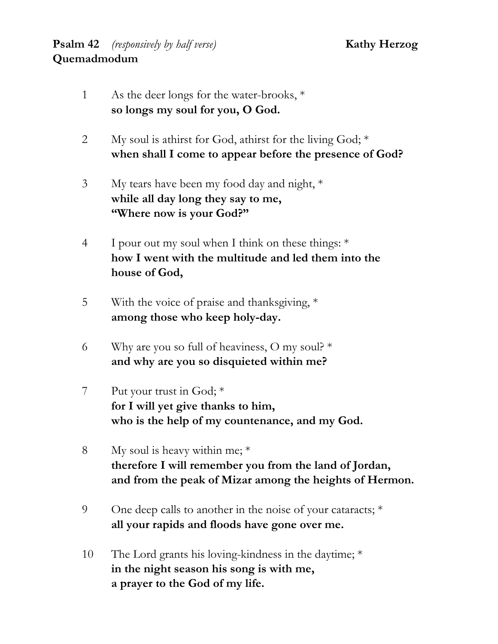**Psalm 42** *(responsively by half verse)* **Kathy Herzog Quemadmodum** 

- 1 As the deer longs for the water-brooks,  $*$ **so longs my soul for you, O God.**
- 2 My soul is athirst for God, athirst for the living God;  $*$ **when shall I come to appear before the presence of God?**
- 3 My tears have been my food day and night, \* **while all day long they say to me, "Where now is your God?"**
- 4 I pour out my soul when I think on these things: \* **how I went with the multitude and led them into the house of God,**
- 5 With the voice of praise and thanksgiving, \* **among those who keep holy-day.**
- 6 Why are you so full of heaviness, O my soul?  $*$ **and why are you so disquieted within me?**
- 7 Put your trust in God; \* **for I will yet give thanks to him, who is the help of my countenance, and my God.**
- 8 My soul is heavy within me; \* **therefore I will remember you from the land of Jordan, and from the peak of Mizar among the heights of Hermon.**
- 9 One deep calls to another in the noise of your cataracts;  $*$ **all your rapids and floods have gone over me.**
- 10 The Lord grants his loving-kindness in the daytime; \* **in the night season his song is with me, a prayer to the God of my life.**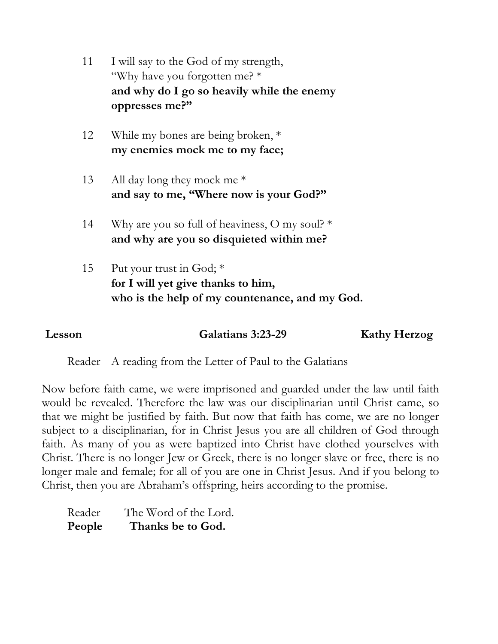- 11 I will say to the God of my strength, "Why have you forgotten me? \* **and why do I go so heavily while the enemy oppresses me?"**
- 12 While my bones are being broken,  $*$ **my enemies mock me to my face;**
- 13 All day long they mock me \* **and say to me, "Where now is your God?"**
- 14 Why are you so full of heaviness, O my soul?  $*$ **and why are you so disquieted within me?**
- 15 Put your trust in God; \* **for I will yet give thanks to him, who is the help of my countenance, and my God.**

**Lesson Galatians 3:23-29 Kathy Herzog** 

Reader A reading from the Letter of Paul to the Galatians

Now before faith came, we were imprisoned and guarded under the law until faith would be revealed. Therefore the law was our disciplinarian until Christ came, so that we might be justified by faith. But now that faith has come, we are no longer subject to a disciplinarian, for in Christ Jesus you are all children of God through faith. As many of you as were baptized into Christ have clothed yourselves with Christ. There is no longer Jew or Greek, there is no longer slave or free, there is no longer male and female; for all of you are one in Christ Jesus. And if you belong to Christ, then you are Abraham's offspring, heirs according to the promise.

| Reader | The Word of the Lord. |
|--------|-----------------------|
| People | Thanks be to God.     |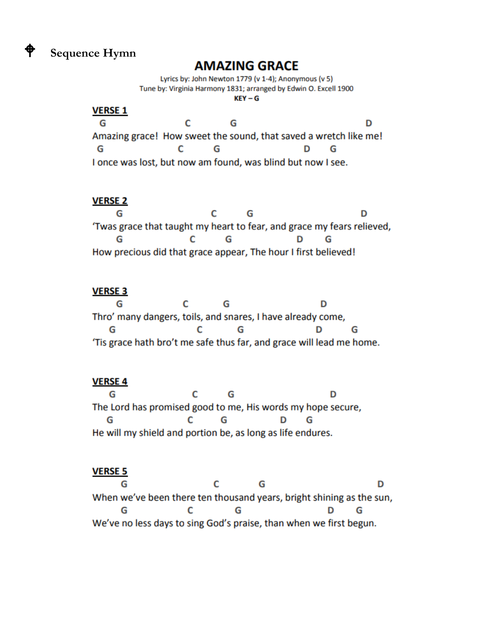#### **Sequence Hymn**

#### **AMAZING GRACE**

Lyrics by: John Newton 1779 (v 1-4); Anonymous (v 5) Tune by: Virginia Harmony 1831; arranged by Edwin O. Excell 1900

 $KEY - G$ 

| <b>VERSE 1</b>                                                   |  |  |   |
|------------------------------------------------------------------|--|--|---|
|                                                                  |  |  | D |
| Amazing grace! How sweet the sound, that saved a wretch like me! |  |  |   |
| G                                                                |  |  |   |
| I once was lost, but now am found, was blind but now I see.      |  |  |   |

#### **VERSE 2**

G C G D 'Twas grace that taught my heart to fear, and grace my fears relieved, G C G D G How precious did that grace appear, The hour I first believed!

#### **VERSE 3**

G G C D Thro' many dangers, toils, and snares, I have already come, G C G D G 'Tis grace hath bro't me safe thus far, and grace will lead me home.

#### **VERSE 4**

C G G D The Lord has promised good to me, His words my hope secure, G C G D G He will my shield and portion be, as long as life endures.

#### **VERSE 5**

C D G G When we've been there ten thousand years, bright shining as the sun, C G G We've no less days to sing God's praise, than when we first begun.

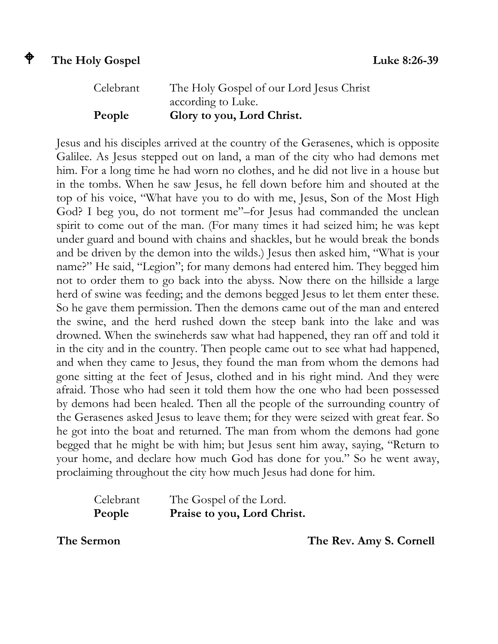| Celebrant | The Holy Gospel of our Lord Jesus Christ |
|-----------|------------------------------------------|
|           | according to Luke.                       |
| People    | Glory to you, Lord Christ.               |

Jesus and his disciples arrived at the country of the Gerasenes, which is opposite Galilee. As Jesus stepped out on land, a man of the city who had demons met him. For a long time he had worn no clothes, and he did not live in a house but in the tombs. When he saw Jesus, he fell down before him and shouted at the top of his voice, "What have you to do with me, Jesus, Son of the Most High God? I beg you, do not torment me"–for Jesus had commanded the unclean spirit to come out of the man. (For many times it had seized him; he was kept under guard and bound with chains and shackles, but he would break the bonds and be driven by the demon into the wilds.) Jesus then asked him, "What is your name?" He said, "Legion"; for many demons had entered him. They begged him not to order them to go back into the abyss. Now there on the hillside a large herd of swine was feeding; and the demons begged Jesus to let them enter these. So he gave them permission. Then the demons came out of the man and entered the swine, and the herd rushed down the steep bank into the lake and was drowned. When the swineherds saw what had happened, they ran off and told it in the city and in the country. Then people came out to see what had happened, and when they came to Jesus, they found the man from whom the demons had gone sitting at the feet of Jesus, clothed and in his right mind. And they were afraid. Those who had seen it told them how the one who had been possessed by demons had been healed. Then all the people of the surrounding country of the Gerasenes asked Jesus to leave them; for they were seized with great fear. So he got into the boat and returned. The man from whom the demons had gone begged that he might be with him; but Jesus sent him away, saying, "Return to your home, and declare how much God has done for you." So he went away, proclaiming throughout the city how much Jesus had done for him.

| People    | Praise to you, Lord Christ. |
|-----------|-----------------------------|
| Celebrant | The Gospel of the Lord.     |

**The Sermon** The Rev. Amy S. Cornell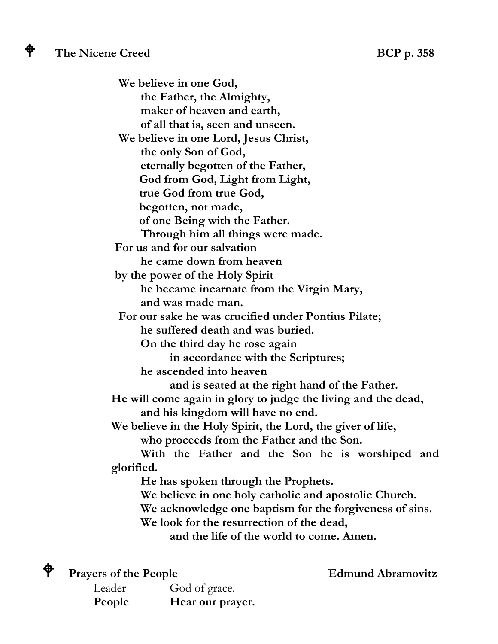**We believe in one God, the Father, the Almighty, maker of heaven and earth, of all that is, seen and unseen. We believe in one Lord, Jesus Christ, the only Son of God, eternally begotten of the Father, God from God, Light from Light, true God from true God, begotten, not made, of one Being with the Father. Through him all things were made. For us and for our salvation he came down from heaven by the power of the Holy Spirit he became incarnate from the Virgin Mary, and was made man. For our sake he was crucified under Pontius Pilate; he suffered death and was buried. On the third day he rose again in accordance with the Scriptures; he ascended into heaven and is seated at the right hand of the Father. He will come again in glory to judge the living and the dead, and his kingdom will have no end. We believe in the Holy Spirit, the Lord, the giver of life, who proceeds from the Father and the Son. With the Father and the Son he is worshiped and glorified. He has spoken through the Prophets. We believe in one holy catholic and apostolic Church. We acknowledge one baptism for the forgiveness of sins. We look for the resurrection of the dead,** 

 **and the life of the world to come. Amen.**

**Prayers of the People Edmund Abramovitz** 

| Leader | God of grace.    |
|--------|------------------|
| People | Hear our prayer. |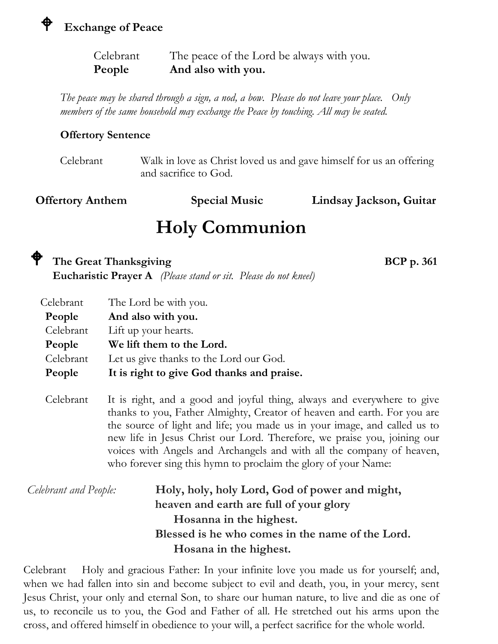## **Exchange of Peace**

| Celebrant | The peace of the Lord be always with you. |
|-----------|-------------------------------------------|
| People    | And also with you.                        |

*The peace may be shared through a sign, a nod, a bow. Please do not leave your place. Only members of the same household may exchange the Peace by touching. All may be seated.*

#### **Offertory Sentence**

| Celebrant | Walk in love as Christ loved us and gave himself for us an offering |
|-----------|---------------------------------------------------------------------|
|           | and sacrifice to God.                                               |

**Offertory Anthem Special Music Lindsay Jackson, Guitar Holy Communion** 

 **The Great Thanksgiving BCP p. 361 Eucharistic Prayer A** *(Please stand or sit. Please do not kneel)*

| Celebrant | The Lord be with you.                      |
|-----------|--------------------------------------------|
| People    | And also with you.                         |
| Celebrant | Lift up your hearts.                       |
| People    | We lift them to the Lord.                  |
| Celebrant | Let us give thanks to the Lord our God.    |
| People    | It is right to give God thanks and praise. |

Celebrant It is right, and a good and joyful thing, always and everywhere to give thanks to you, Father Almighty, Creator of heaven and earth. For you are the source of light and life; you made us in your image, and called us to new life in Jesus Christ our Lord. Therefore, we praise you, joining our voices with Angels and Archangels and with all the company of heaven, who forever sing this hymn to proclaim the glory of your Name:

| Celebrant and People: | Holy, holy, holy Lord, God of power and might,   |
|-----------------------|--------------------------------------------------|
|                       | heaven and earth are full of your glory          |
|                       | Hosanna in the highest.                          |
|                       | Blessed is he who comes in the name of the Lord. |
|                       | Hosana in the highest.                           |

Celebrant Holy and gracious Father: In your infinite love you made us for yourself; and, when we had fallen into sin and become subject to evil and death, you, in your mercy, sent Jesus Christ, your only and eternal Son, to share our human nature, to live and die as one of us, to reconcile us to you, the God and Father of all. He stretched out his arms upon the cross, and offered himself in obedience to your will, a perfect sacrifice for the whole world.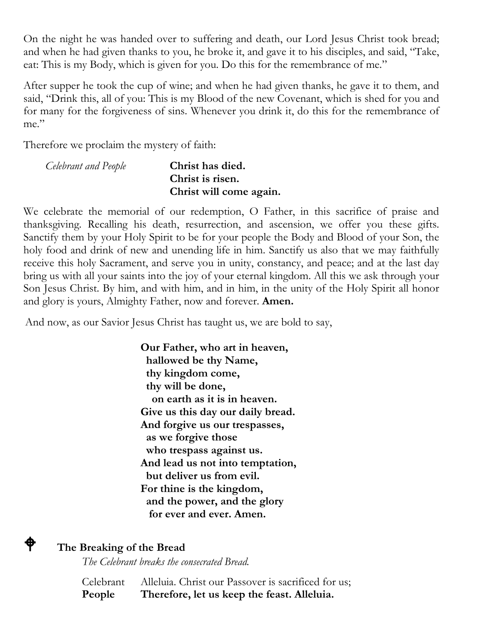On the night he was handed over to suffering and death, our Lord Jesus Christ took bread; and when he had given thanks to you, he broke it, and gave it to his disciples, and said, "Take, eat: This is my Body, which is given for you. Do this for the remembrance of me."

After supper he took the cup of wine; and when he had given thanks, he gave it to them, and said, "Drink this, all of you: This is my Blood of the new Covenant, which is shed for you and for many for the forgiveness of sins. Whenever you drink it, do this for the remembrance of me."

Therefore we proclaim the mystery of faith:

| Celebrant and People | Christ has died.        |
|----------------------|-------------------------|
|                      | Christ is risen.        |
|                      | Christ will come again. |

We celebrate the memorial of our redemption, O Father, in this sacrifice of praise and thanksgiving. Recalling his death, resurrection, and ascension, we offer you these gifts. Sanctify them by your Holy Spirit to be for your people the Body and Blood of your Son, the holy food and drink of new and unending life in him. Sanctify us also that we may faithfully receive this holy Sacrament, and serve you in unity, constancy, and peace; and at the last day bring us with all your saints into the joy of your eternal kingdom. All this we ask through your Son Jesus Christ. By him, and with him, and in him, in the unity of the Holy Spirit all honor and glory is yours, Almighty Father, now and forever. **Amen.** 

And now, as our Savior Jesus Christ has taught us, we are bold to say,

**Our Father, who art in heaven, hallowed be thy Name, thy kingdom come, thy will be done, on earth as it is in heaven. Give us this day our daily bread. And forgive us our trespasses, as we forgive those who trespass against us. And lead us not into temptation, but deliver us from evil. For thine is the kingdom, and the power, and the glory for ever and ever. Amen.** 

## **The Breaking of the Bread**

*The Celebrant breaks the consecrated Bread.* 

| Celebrant | Alleluia. Christ our Passover is sacrificed for us; |
|-----------|-----------------------------------------------------|
| People    | Therefore, let us keep the feast. Alleluia.         |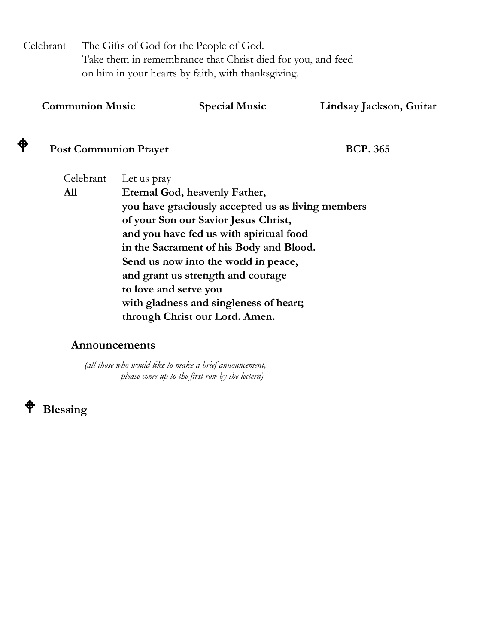Celebrant The Gifts of God for the People of God. Take them in remembrance that Christ died for you, and feed on him in your hearts by faith, with thanksgiving.

| <b>Communion Music</b> | <b>Special Music</b> | Lindsay Jackson, Guitar |
|------------------------|----------------------|-------------------------|
|                        |                      |                         |

**P** Post Communion Prayer BCP. 365

Celebrant Let us pray **All Eternal God, heavenly Father, you have graciously accepted us as living members of your Son our Savior Jesus Christ, and you have fed us with spiritual food in the Sacrament of his Body and Blood. Send us now into the world in peace, and grant us strength and courage to love and serve you with gladness and singleness of heart; through Christ our Lord. Amen.** 

#### **Announcements**

 *(all those who would like to make a brief announcement, please come up to the first row by the lectern)* 

 **Blessing**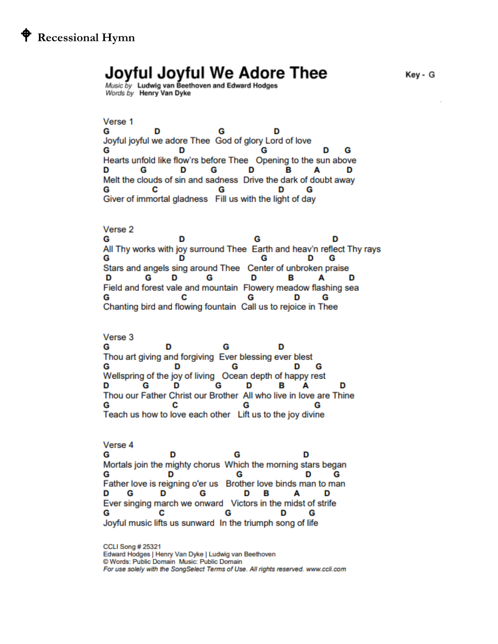## Joyful Joyful We Adore Thee

Music by Ludwig van Beethoven and Edward Hodges Words by Henry Van Dyke

Verse 1 G D G D Joyful joyful we adore Thee God of glory Lord of love Hearts unfold like flow'rs before Thee Opening to the sun above D D G D в А D Melt the clouds of sin and sadness Drive the dark of doubt away G С G D Giver of immortal gladness Fill us with the light of day

Verse<sub>2</sub> G D G D All Thy works with joy surround Thee Earth and heav'n reflect Thy rays G G D G Stars and angels sing around Thee Center of unbroken praise D G R D А Field and forest vale and mountain Flowery meadow flashing sea G G D Chanting bird and flowing fountain Call us to rejoice in Thee

Verse 3 G Thou art giving and forgiving Ever blessing ever blest D G Wellspring of the joy of living Ocean depth of happy rest G G D D D в Thou our Father Christ our Brother All who live in love are Thine G С G G Teach us how to love each other Lift us to the joy divine

Verse 4 G D G D Mortals join the mighty chorus Which the morning stars began G D G D G Father love is reigning o'er us Brother love binds man to man D Ever singing march we onward Victors in the midst of strife G c G D G Joyful music lifts us sunward In the triumph song of life

**CCLI Song # 25321** Edward Hodges | Henry Van Dyke | Ludwig van Beethoven C Words: Public Domain Music: Public Domain For use solely with the SongSelect Terms of Use. All rights reserved. www.ccli.com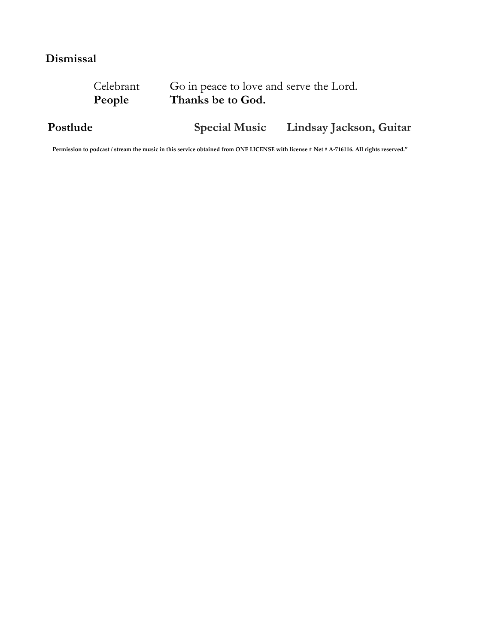## **Dismissal**

| Celebrant | Go in peace to love and serve the Lord. |
|-----------|-----------------------------------------|
| People    | Thanks be to God.                       |

 **Postlude Special Music Lindsay Jackson, Guitar**

**Permission to podcast / stream the music in this service obtained from ONE LICENSE with license # Net # A-716116. All rights reserved."**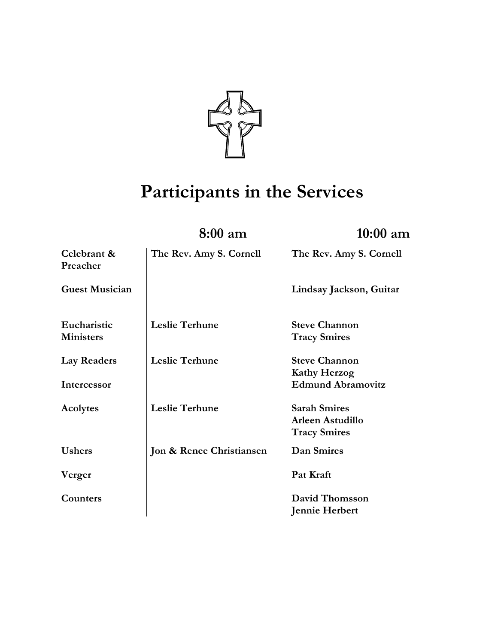

# **Participants in the Services**

|                                 | $8:00 \text{ am}$        | $10:00$ am                                                            |
|---------------------------------|--------------------------|-----------------------------------------------------------------------|
| Celebrant &<br>Preacher         | The Rev. Amy S. Cornell  | The Rev. Amy S. Cornell                                               |
| <b>Guest Musician</b>           |                          | Lindsay Jackson, Guitar                                               |
| Eucharistic<br><b>Ministers</b> | <b>Leslie Terhune</b>    | <b>Steve Channon</b><br><b>Tracy Smires</b>                           |
| <b>Lay Readers</b>              | <b>Leslie Terhune</b>    | <b>Steve Channon</b><br><b>Kathy Herzog</b>                           |
| Intercessor                     |                          | <b>Edmund Abramovitz</b>                                              |
| Acolytes                        | <b>Leslie Terhune</b>    | <b>Sarah Smires</b><br><b>Arleen Astudillo</b><br><b>Tracy Smires</b> |
| <b>Ushers</b>                   | Jon & Renee Christiansen | Dan Smires                                                            |
| Verger                          |                          | Pat Kraft                                                             |
| Counters                        |                          | David Thomsson<br>Jennie Herbert                                      |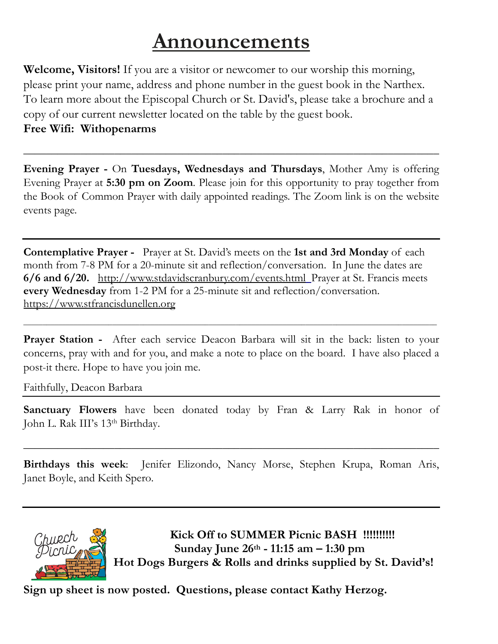## **Announcements**

**Welcome, Visitors!** If you are a visitor or newcomer to our worship this morning, please print your name, address and phone number in the guest book in the Narthex. To learn more about the Episcopal Church or St. David's, please take a brochure and a copy of our current newsletter located on the table by the guest book.

## **Free Wifi: Withopenarms**

**Evening Prayer -** On **Tuesdays, Wednesdays and Thursdays**, Mother Amy is offering Evening Prayer at **5:30 pm on Zoom**. Please join for this opportunity to pray together from the Book of Common Prayer with daily appointed readings. The Zoom link is on the website events page.

 $\overline{\phantom{a}}$  , and the contract of the contract of the contract of the contract of the contract of the contract of the contract of the contract of the contract of the contract of the contract of the contract of the contrac

**Contemplative Prayer -** Prayer at St. David's meets on the **1st and 3rd Monday** of each month from 7-8 PM for a 20-minute sit and reflection/conversation. In June the dates are **6/6 and 6/20.** http://www.stdavidscranbury.com/events.html Prayer at St. Francis meets **every Wednesday** from 1-2 PM for a 25-minute sit and reflection/conversation. https://www.stfrancisdunellen.org

**Prayer Station -** After each service Deacon Barbara will sit in the back: listen to your concerns, pray with and for you, and make a note to place on the board. I have also placed a post-it there. Hope to have you join me.

\_\_\_\_\_\_\_\_\_\_\_\_\_\_\_\_\_\_\_\_\_\_\_\_\_\_\_\_\_\_\_\_\_\_\_\_\_\_\_\_\_\_\_\_\_\_\_\_\_\_\_\_\_\_\_\_\_\_\_\_\_\_\_\_\_\_\_\_\_\_\_\_\_\_\_\_\_\_\_\_\_\_\_\_\_\_\_\_\_\_\_\_\_\_\_\_\_\_\_\_\_\_\_\_\_\_\_

Faithfully, Deacon Barbara

**Sanctuary Flowers** have been donated today by Fran & Larry Rak in honor of John L. Rak III's 13<sup>th</sup> Birthday.

**Birthdays this week**: Jenifer Elizondo, Nancy Morse, Stephen Krupa, Roman Aris, Janet Boyle, and Keith Spero.

**\_\_\_\_\_\_\_\_\_\_\_\_\_\_\_\_\_\_\_\_\_\_\_\_\_\_\_\_\_\_\_\_\_\_\_\_\_\_\_\_\_\_\_\_\_\_\_\_\_\_\_\_\_\_\_\_\_\_\_\_\_\_\_\_\_\_\_\_\_\_\_\_\_** 



 **Kick Off to SUMMER Picnic BASH !!!!!!!!!! Sunday June 26th - 11:15 am – 1:30 pm Hot Dogs Burgers & Rolls and drinks supplied by St. David's!** 

**Sign up sheet is now posted. Questions, please contact Kathy Herzog.**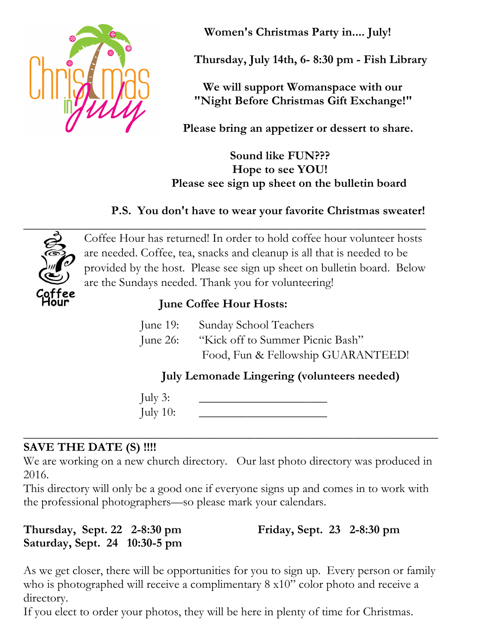

 **Women's Christmas Party in.... July!** 

**Thursday, July 14th, 6- 8:30 pm - Fish Library** 

 **We will support Womanspace with our "Night Before Christmas Gift Exchange!"** 

 **Please bring an appetizer or dessert to share.** 

 **Sound like FUN??? Hope to see YOU! Please see sign up sheet on the bulletin board** 

## **P.S. You don't have to wear your favorite Christmas sweater!**



**\_\_\_\_\_\_\_\_\_\_\_\_\_\_\_\_\_\_\_\_\_\_\_\_\_\_\_\_\_\_\_\_\_\_\_\_\_\_\_\_\_\_\_\_\_\_\_\_\_\_\_\_\_\_\_\_\_\_\_\_\_\_\_\_\_\_**  Coffee Hour has returned! In order to hold coffee hour volunteer hosts are needed. Coffee, tea, snacks and cleanup is all that is needed to be provided by the host. Please see sign up sheet on bulletin board. Below are the Sundays needed. Thank you for volunteering!

## **June Coffee Hour Hosts:**

June 19: Sunday School Teachers June 26: "Kick off to Summer Picnic Bash" Food, Fun & Fellowship GUARANTEED!

## **July Lemonade Lingering (volunteers needed)**

July 3: July  $10$ :

#### **\_\_\_\_\_\_\_\_\_\_\_\_\_\_\_\_\_\_\_\_\_\_\_\_\_\_\_\_\_\_\_\_\_\_\_\_\_\_\_\_\_\_\_\_\_\_\_\_\_\_\_\_\_\_\_\_\_\_\_\_\_\_\_\_\_\_\_\_ SAVE THE DATE (S) !!!!**

We are working on a new church directory. Our last photo directory was produced in 2016.

This directory will only be a good one if everyone signs up and comes in to work with the professional photographers—so please mark your calendars.

## **Thursday, Sept. 22 2-8:30 pm Friday, Sept. 23 2-8:30 pm Saturday, Sept. 24 10:30-5 pm**

As we get closer, there will be opportunities for you to sign up. Every person or family who is photographed will receive a complimentary 8 x10" color photo and receive a directory.

If you elect to order your photos, they will be here in plenty of time for Christmas.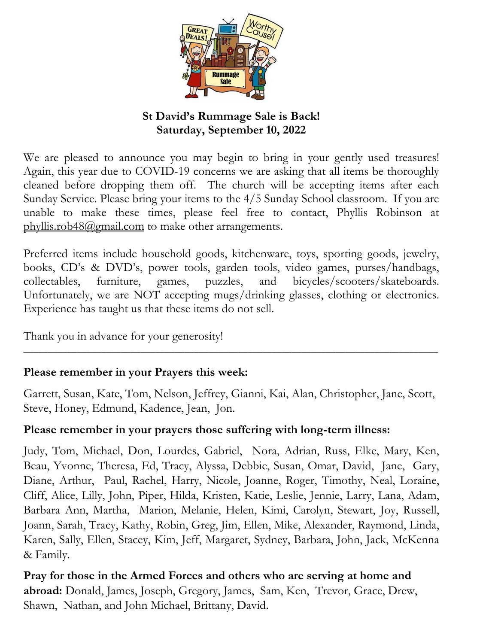

**St David's Rummage Sale is Back! Saturday, September 10, 2022** 

We are pleased to announce you may begin to bring in your gently used treasures! Again, this year due to COVID-19 concerns we are asking that all items be thoroughly cleaned before dropping them off. The church will be accepting items after each Sunday Service. Please bring your items to the 4/5 Sunday School classroom. If you are unable to make these times, please feel free to contact, Phyllis Robinson at phyllis.rob48@gmail.com to make other arrangements.

Preferred items include household goods, kitchenware, toys, sporting goods, jewelry, books, CD's & DVD's, power tools, garden tools, video games, purses/handbags, collectables, furniture, games, puzzles, and bicycles/scooters/skateboards. Unfortunately, we are NOT accepting mugs/drinking glasses, clothing or electronics. Experience has taught us that these items do not sell.

Thank you in advance for your generosity!

## **Please remember in your Prayers this week:**

Garrett, Susan, Kate, Tom, Nelson, Jeffrey, Gianni, Kai, Alan, Christopher, Jane, Scott, Steve, Honey, Edmund, Kadence, Jean, Jon.

\_\_\_\_\_\_\_\_\_\_\_\_\_\_\_\_\_\_\_\_\_\_\_\_\_\_\_\_\_\_\_\_\_\_\_\_\_\_\_\_\_\_\_\_\_\_\_\_\_\_\_\_\_\_\_\_\_\_\_\_\_\_\_\_\_\_\_\_\_\_\_\_\_\_\_\_\_\_\_\_\_\_\_\_\_

### **Please remember in your prayers those suffering with long-term illness:**

Judy, Tom, Michael, Don, Lourdes, Gabriel, Nora, Adrian, Russ, Elke, Mary, Ken, Beau, Yvonne, Theresa, Ed, Tracy, Alyssa, Debbie, Susan, Omar, David, Jane, Gary, Diane, Arthur, Paul, Rachel, Harry, Nicole, Joanne, Roger, Timothy, Neal, Loraine, Cliff, Alice, Lilly, John, Piper, Hilda, Kristen, Katie, Leslie, Jennie, Larry, Lana, Adam, Barbara Ann, Martha, Marion, Melanie, Helen, Kimi, Carolyn, Stewart, Joy, Russell, Joann, Sarah, Tracy, Kathy, Robin, Greg, Jim, Ellen, Mike, Alexander, Raymond, Linda, Karen, Sally, Ellen, Stacey, Kim, Jeff, Margaret, Sydney, Barbara, John, Jack, McKenna & Family.

**Pray for those in the Armed Forces and others who are serving at home and abroad:** Donald, James, Joseph, Gregory, James, Sam, Ken, Trevor, Grace, Drew, Shawn, Nathan, and John Michael, Brittany, David.